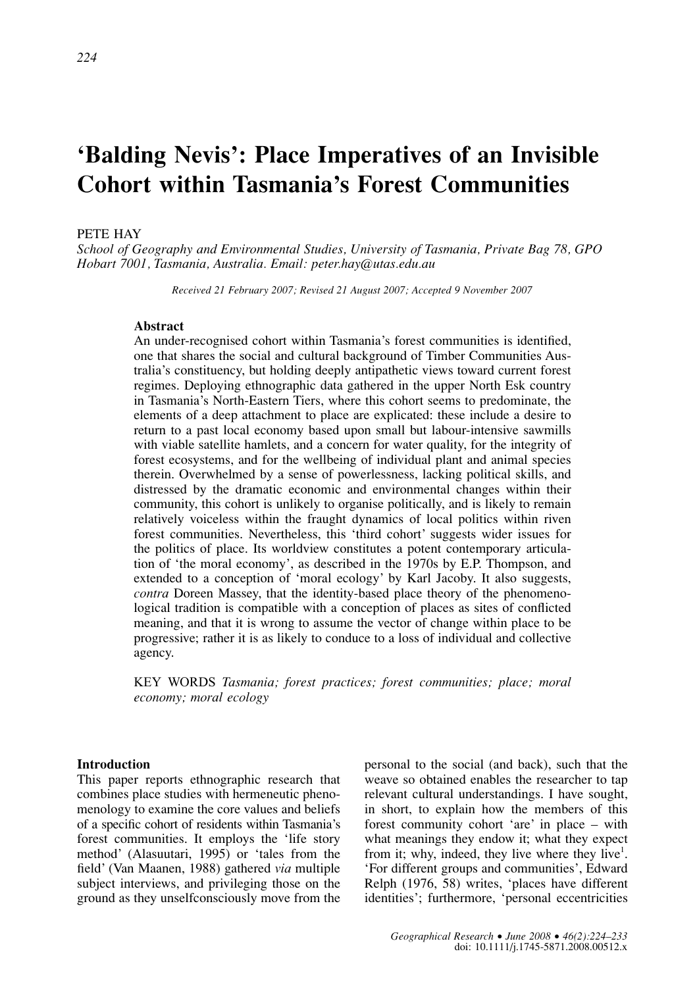# 'Balding Nevis': Place Imperatives of an Invisible **Cohort within Tasmania's Forest Communities**

#### PETE HAY

*School of Geography and Environmental Studies, University of Tasmania, Private Bag 78, GPO Hobart 7001, Tasmania, Australia. Email: peter.hay@utas.edu.au*

*Received 21 February 2007; Revised 21 August 2007; Accepted 9 November 2007*

#### **Abstract**

An under-recognised cohort within Tasmania's forest communities is identified, one that shares the social and cultural background of Timber Communities Australia's constituency, but holding deeply antipathetic views toward current forest regimes. Deploying ethnographic data gathered in the upper North Esk country in Tasmania's North-Eastern Tiers, where this cohort seems to predominate, the elements of a deep attachment to place are explicated: these include a desire to return to a past local economy based upon small but labour-intensive sawmills with viable satellite hamlets, and a concern for water quality, for the integrity of forest ecosystems, and for the wellbeing of individual plant and animal species therein. Overwhelmed by a sense of powerlessness, lacking political skills, and distressed by the dramatic economic and environmental changes within their community, this cohort is unlikely to organise politically, and is likely to remain relatively voiceless within the fraught dynamics of local politics within riven forest communities. Nevertheless, this 'third cohort' suggests wider issues for the politics of place. Its worldview constitutes a potent contemporary articulation of 'the moral economy', as described in the 1970s by E.P. Thompson, and extended to a conception of 'moral ecology' by Karl Jacoby. It also suggests, *contra* Doreen Massey, that the identity-based place theory of the phenomenological tradition is compatible with a conception of places as sites of conflicted meaning, and that it is wrong to assume the vector of change within place to be progressive; rather it is as likely to conduce to a loss of individual and collective agency.

KEY WORDS *Tasmania; forest practices; forest communities; place; moral economy; moral ecology*

#### **Introduction**

This paper reports ethnographic research that combines place studies with hermeneutic phenomenology to examine the core values and beliefs of a specific cohort of residents within Tasmania's forest communities. It employs the 'life story method' (Alasuutari, 1995) or 'tales from the field' (Van Maanen, 1988) gathered *via* multiple subject interviews, and privileging those on the ground as they unselfconsciously move from the personal to the social (and back), such that the weave so obtained enables the researcher to tap relevant cultural understandings. I have sought, in short, to explain how the members of this forest community cohort 'are' in place – with what meanings they endow it; what they expect from it; why, indeed, they live where they live<sup>1</sup>. 'For different groups and communities', Edward Relph (1976, 58) writes, 'places have different identities'; furthermore, 'personal eccentricities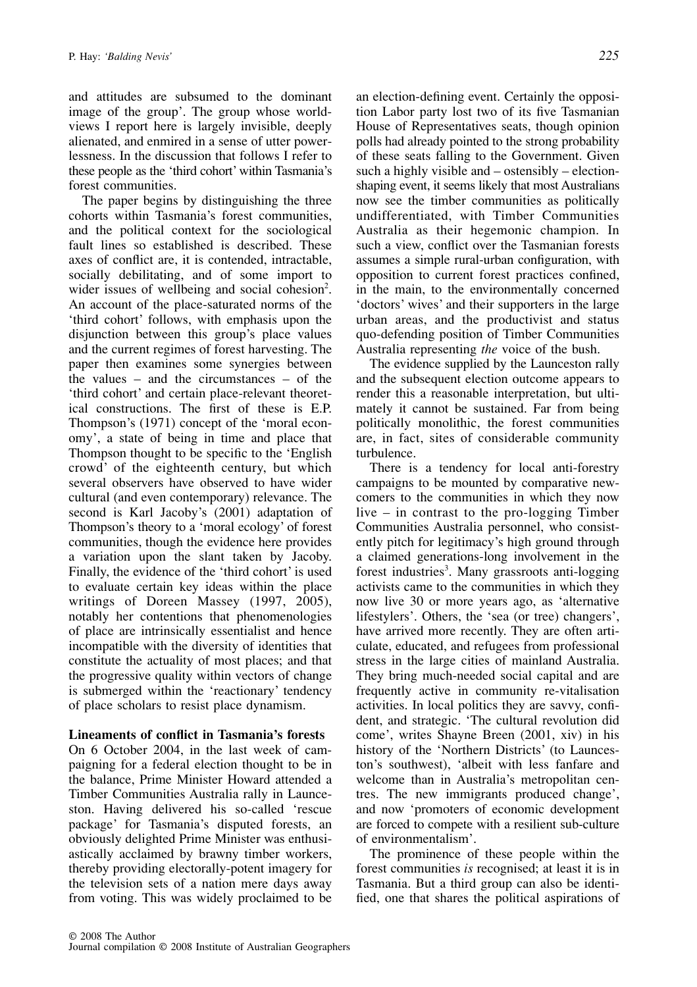and attitudes are subsumed to the dominant image of the group'. The group whose worldviews I report here is largely invisible, deeply alienated, and enmired in a sense of utter powerlessness. In the discussion that follows I refer to these people as the 'third cohort' within Tasmania's forest communities.

The paper begins by distinguishing the three cohorts within Tasmania's forest communities, and the political context for the sociological fault lines so established is described. These axes of conflict are, it is contended, intractable, socially debilitating, and of some import to wider issues of wellbeing and social cohesion<sup>2</sup>. An account of the place-saturated norms of the 'third cohort' follows, with emphasis upon the disjunction between this group's place values and the current regimes of forest harvesting. The paper then examines some synergies between the values – and the circumstances – of the 'third cohort' and certain place-relevant theoretical constructions. The first of these is E.P. Thompson's (1971) concept of the 'moral economy', a state of being in time and place that Thompson thought to be specific to the 'English crowd' of the eighteenth century, but which several observers have observed to have wider cultural (and even contemporary) relevance. The second is Karl Jacoby's (2001) adaptation of Thompson's theory to a 'moral ecology' of forest communities, though the evidence here provides a variation upon the slant taken by Jacoby. Finally, the evidence of the 'third cohort' is used to evaluate certain key ideas within the place writings of Doreen Massey (1997, 2005), notably her contentions that phenomenologies of place are intrinsically essentialist and hence incompatible with the diversity of identities that constitute the actuality of most places; and that the progressive quality within vectors of change is submerged within the 'reactionary' tendency of place scholars to resist place dynamism.

## **Lineaments of conflict in Tasmania's forests**

On 6 October 2004, in the last week of campaigning for a federal election thought to be in the balance, Prime Minister Howard attended a Timber Communities Australia rally in Launceston. Having delivered his so-called 'rescue package' for Tasmania's disputed forests, an obviously delighted Prime Minister was enthusiastically acclaimed by brawny timber workers, thereby providing electorally-potent imagery for the television sets of a nation mere days away from voting. This was widely proclaimed to be

an election-defining event. Certainly the opposition Labor party lost two of its five Tasmanian House of Representatives seats, though opinion polls had already pointed to the strong probability of these seats falling to the Government. Given such a highly visible and – ostensibly – electionshaping event, it seems likely that most Australians now see the timber communities as politically undifferentiated, with Timber Communities Australia as their hegemonic champion. In such a view, conflict over the Tasmanian forests assumes a simple rural-urban configuration, with opposition to current forest practices confined, in the main, to the environmentally concerned 'doctors' wives' and their supporters in the large urban areas, and the productivist and status quo-defending position of Timber Communities Australia representing *the* voice of the bush.

The evidence supplied by the Launceston rally and the subsequent election outcome appears to render this a reasonable interpretation, but ultimately it cannot be sustained. Far from being politically monolithic, the forest communities are, in fact, sites of considerable community turbulence.

There is a tendency for local anti-forestry campaigns to be mounted by comparative newcomers to the communities in which they now live – in contrast to the pro-logging Timber Communities Australia personnel, who consistently pitch for legitimacy's high ground through a claimed generations-long involvement in the forest industries<sup>3</sup>. Many grassroots anti-logging activists came to the communities in which they now live 30 or more years ago, as 'alternative lifestylers'. Others, the 'sea (or tree) changers', have arrived more recently. They are often articulate, educated, and refugees from professional stress in the large cities of mainland Australia. They bring much-needed social capital and are frequently active in community re-vitalisation activities. In local politics they are savvy, confident, and strategic. 'The cultural revolution did come', writes Shayne Breen (2001, xiv) in his history of the 'Northern Districts' (to Launceston's southwest), 'albeit with less fanfare and welcome than in Australia's metropolitan centres. The new immigrants produced change', and now 'promoters of economic development are forced to compete with a resilient sub-culture of environmentalism'.

The prominence of these people within the forest communities *is* recognised; at least it is in Tasmania. But a third group can also be identified, one that shares the political aspirations of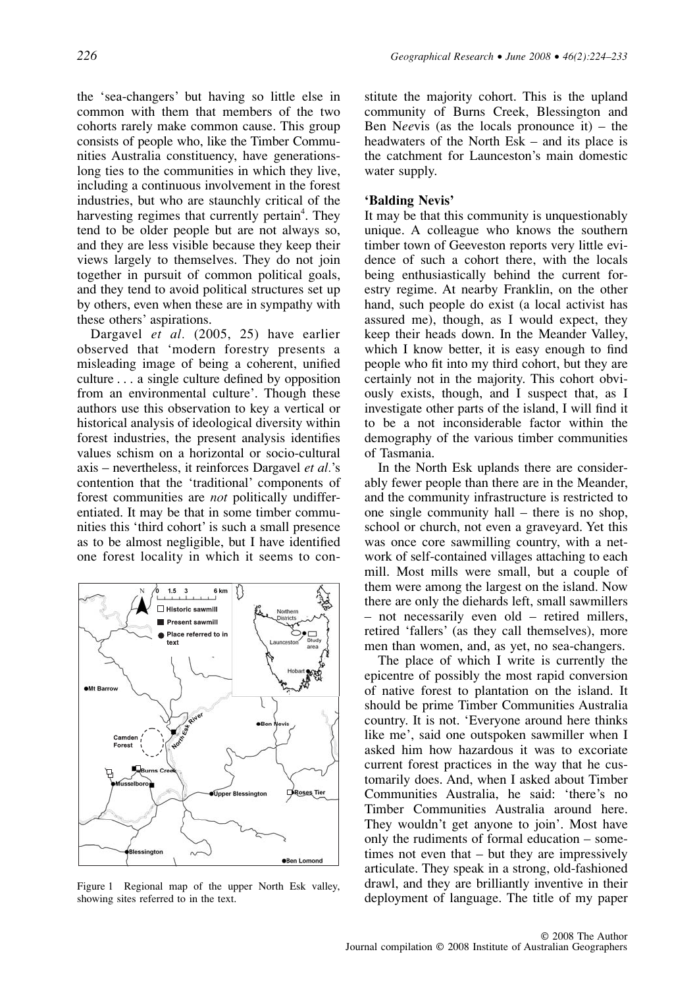the 'sea-changers' but having so little else in common with them that members of the two cohorts rarely make common cause. This group consists of people who, like the Timber Communities Australia constituency, have generationslong ties to the communities in which they live, including a continuous involvement in the forest industries, but who are staunchly critical of the harvesting regimes that currently pertain<sup>4</sup>. They tend to be older people but are not always so, and they are less visible because they keep their views largely to themselves. They do not join together in pursuit of common political goals, and they tend to avoid political structures set up by others, even when these are in sympathy with these others' aspirations.

Dargavel *et al.* (2005, 25) have earlier observed that 'modern forestry presents a misleading image of being a coherent, unified culture . . . a single culture defined by opposition from an environmental culture'. Though these authors use this observation to key a vertical or historical analysis of ideological diversity within forest industries, the present analysis identifies values schism on a horizontal or socio-cultural axis – nevertheless, it reinforces Dargavel *et al.*'s contention that the 'traditional' components of forest communities are *not* politically undifferentiated. It may be that in some timber communities this 'third cohort' is such a small presence as to be almost negligible, but I have identified one forest locality in which it seems to con-



Figure 1 Regional map of the upper North Esk valley, showing sites referred to in the text.

stitute the majority cohort. This is the upland community of Burns Creek, Blessington and Ben N*ee*vis (as the locals pronounce it) – the headwaters of the North Esk – and its place is the catchment for Launceston's main domestic water supply.

## **'Balding Nevis'**

It may be that this community is unquestionably unique. A colleague who knows the southern timber town of Geeveston reports very little evidence of such a cohort there, with the locals being enthusiastically behind the current forestry regime. At nearby Franklin, on the other hand, such people do exist (a local activist has assured me), though, as I would expect, they keep their heads down. In the Meander Valley, which I know better, it is easy enough to find people who fit into my third cohort, but they are certainly not in the majority. This cohort obviously exists, though, and I suspect that, as I investigate other parts of the island, I will find it to be a not inconsiderable factor within the demography of the various timber communities of Tasmania.

In the North Esk uplands there are considerably fewer people than there are in the Meander, and the community infrastructure is restricted to one single community hall – there is no shop, school or church, not even a graveyard. Yet this was once core sawmilling country, with a network of self-contained villages attaching to each mill. Most mills were small, but a couple of them were among the largest on the island. Now there are only the diehards left, small sawmillers – not necessarily even old – retired millers, retired 'fallers' (as they call themselves), more men than women, and, as yet, no sea-changers.

The place of which I write is currently the epicentre of possibly the most rapid conversion of native forest to plantation on the island. It should be prime Timber Communities Australia country. It is not. 'Everyone around here thinks like me', said one outspoken sawmiller when I asked him how hazardous it was to excoriate current forest practices in the way that he customarily does. And, when I asked about Timber Communities Australia, he said: 'there's no Timber Communities Australia around here. They wouldn't get anyone to join'. Most have only the rudiments of formal education – sometimes not even that – but they are impressively articulate. They speak in a strong, old-fashioned drawl, and they are brilliantly inventive in their deployment of language. The title of my paper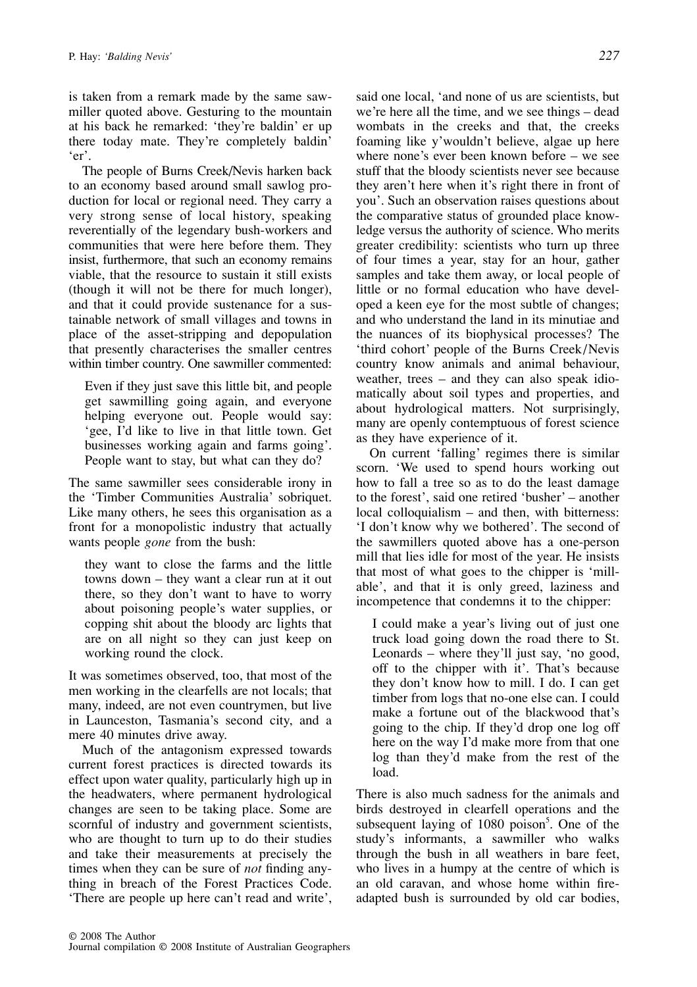is taken from a remark made by the same sawmiller quoted above. Gesturing to the mountain at his back he remarked: 'they're baldin' er up there today mate. They're completely baldin' 'er'.

The people of Burns Creek/Nevis harken back to an economy based around small sawlog production for local or regional need. They carry a very strong sense of local history, speaking reverentially of the legendary bush-workers and communities that were here before them. They insist, furthermore, that such an economy remains viable, that the resource to sustain it still exists (though it will not be there for much longer), and that it could provide sustenance for a sustainable network of small villages and towns in place of the asset-stripping and depopulation that presently characterises the smaller centres within timber country. One sawmiller commented:

Even if they just save this little bit, and people get sawmilling going again, and everyone helping everyone out. People would say: 'gee, I'd like to live in that little town. Get businesses working again and farms going'. People want to stay, but what can they do?

The same sawmiller sees considerable irony in the 'Timber Communities Australia' sobriquet. Like many others, he sees this organisation as a front for a monopolistic industry that actually wants people *gone* from the bush:

they want to close the farms and the little towns down – they want a clear run at it out there, so they don't want to have to worry about poisoning people's water supplies, or copping shit about the bloody arc lights that are on all night so they can just keep on working round the clock.

It was sometimes observed, too, that most of the men working in the clearfells are not locals; that many, indeed, are not even countrymen, but live in Launceston, Tasmania's second city, and a mere 40 minutes drive away.

Much of the antagonism expressed towards current forest practices is directed towards its effect upon water quality, particularly high up in the headwaters, where permanent hydrological changes are seen to be taking place. Some are scornful of industry and government scientists, who are thought to turn up to do their studies and take their measurements at precisely the times when they can be sure of *not* finding anything in breach of the Forest Practices Code. 'There are people up here can't read and write',

said one local, 'and none of us are scientists, but we're here all the time, and we see things – dead wombats in the creeks and that, the creeks foaming like y'wouldn't believe, algae up here where none's ever been known before – we see stuff that the bloody scientists never see because they aren't here when it's right there in front of you'. Such an observation raises questions about the comparative status of grounded place knowledge versus the authority of science. Who merits greater credibility: scientists who turn up three of four times a year, stay for an hour, gather samples and take them away, or local people of little or no formal education who have developed a keen eye for the most subtle of changes; and who understand the land in its minutiae and the nuances of its biophysical processes? The 'third cohort' people of the Burns Creek/Nevis country know animals and animal behaviour, weather, trees – and they can also speak idiomatically about soil types and properties, and about hydrological matters. Not surprisingly, many are openly contemptuous of forest science as they have experience of it.

On current 'falling' regimes there is similar scorn. 'We used to spend hours working out how to fall a tree so as to do the least damage to the forest', said one retired 'busher' – another local colloquialism – and then, with bitterness: 'I don't know why we bothered'. The second of the sawmillers quoted above has a one-person mill that lies idle for most of the year. He insists that most of what goes to the chipper is 'millable', and that it is only greed, laziness and incompetence that condemns it to the chipper:

I could make a year's living out of just one truck load going down the road there to St. Leonards – where they'll just say, 'no good, off to the chipper with it'. That's because they don't know how to mill. I do. I can get timber from logs that no-one else can. I could make a fortune out of the blackwood that's going to the chip. If they'd drop one log off here on the way I'd make more from that one log than they'd make from the rest of the load.

There is also much sadness for the animals and birds destroyed in clearfell operations and the subsequent laying of 1080 poison<sup>5</sup>. One of the study's informants, a sawmiller who walks through the bush in all weathers in bare feet, who lives in a humpy at the centre of which is an old caravan, and whose home within fireadapted bush is surrounded by old car bodies,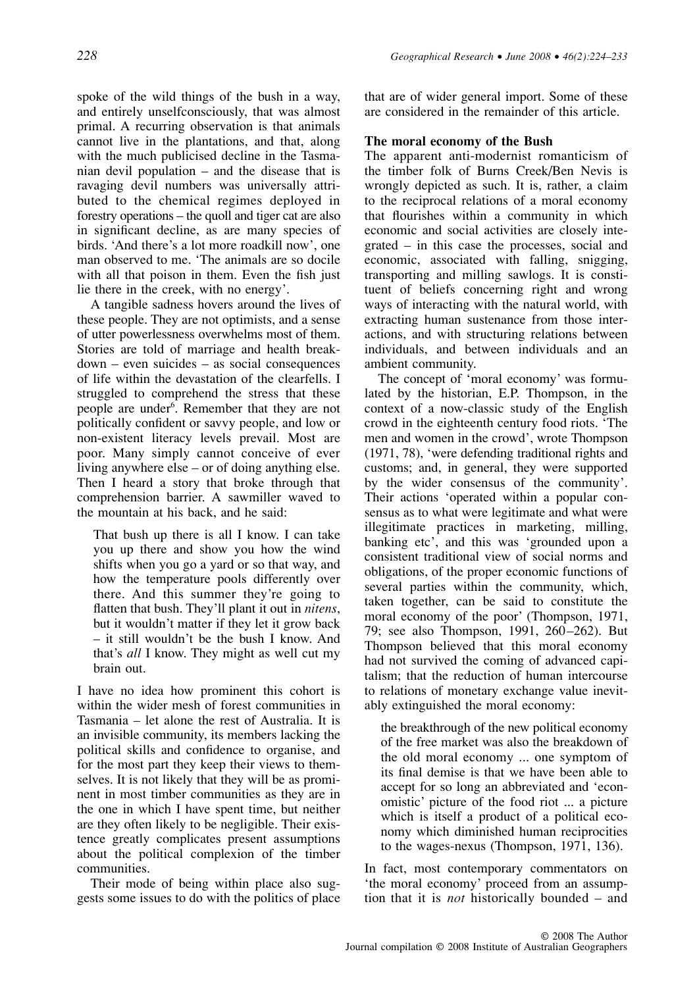© 2008 The Author Journal compilation © 2008 Institute of Australian Geographers

spoke of the wild things of the bush in a way, and entirely unselfconsciously, that was almost primal. A recurring observation is that animals cannot live in the plantations, and that, along with the much publicised decline in the Tasmanian devil population – and the disease that is ravaging devil numbers was universally attributed to the chemical regimes deployed in forestry operations – the quoll and tiger cat are also in significant decline, as are many species of birds. 'And there's a lot more roadkill now', one man observed to me. 'The animals are so docile with all that poison in them. Even the fish just lie there in the creek, with no energy'.

A tangible sadness hovers around the lives of these people. They are not optimists, and a sense of utter powerlessness overwhelms most of them. Stories are told of marriage and health breakdown – even suicides – as social consequences of life within the devastation of the clearfells. I struggled to comprehend the stress that these people are under<sup>6</sup>. Remember that they are not politically confident or savvy people, and low or non-existent literacy levels prevail. Most are poor. Many simply cannot conceive of ever living anywhere else – or of doing anything else. Then I heard a story that broke through that comprehension barrier. A sawmiller waved to the mountain at his back, and he said:

That bush up there is all I know. I can take you up there and show you how the wind shifts when you go a yard or so that way, and how the temperature pools differently over there. And this summer they're going to flatten that bush. They'll plant it out in *nitens*, but it wouldn't matter if they let it grow back – it still wouldn't be the bush I know. And that's *all* I know. They might as well cut my brain out.

I have no idea how prominent this cohort is within the wider mesh of forest communities in Tasmania – let alone the rest of Australia. It is an invisible community, its members lacking the political skills and confidence to organise, and for the most part they keep their views to themselves. It is not likely that they will be as prominent in most timber communities as they are in the one in which I have spent time, but neither are they often likely to be negligible. Their existence greatly complicates present assumptions about the political complexion of the timber communities.

Their mode of being within place also suggests some issues to do with the politics of place that are of wider general import. Some of these are considered in the remainder of this article.

## **The moral economy of the Bush**

The apparent anti-modernist romanticism of the timber folk of Burns Creek/Ben Nevis is wrongly depicted as such. It is, rather, a claim to the reciprocal relations of a moral economy that flourishes within a community in which economic and social activities are closely integrated – in this case the processes, social and economic, associated with falling, snigging, transporting and milling sawlogs. It is constituent of beliefs concerning right and wrong ways of interacting with the natural world, with extracting human sustenance from those interactions, and with structuring relations between individuals, and between individuals and an ambient community.

The concept of 'moral economy' was formulated by the historian, E.P. Thompson, in the context of a now-classic study of the English crowd in the eighteenth century food riots. 'The men and women in the crowd', wrote Thompson (1971, 78), 'were defending traditional rights and customs; and, in general, they were supported by the wider consensus of the community'. Their actions 'operated within a popular consensus as to what were legitimate and what were illegitimate practices in marketing, milling, banking etc', and this was 'grounded upon a consistent traditional view of social norms and obligations, of the proper economic functions of several parties within the community, which, taken together, can be said to constitute the moral economy of the poor' (Thompson, 1971, 79; see also Thompson, 1991, 260–262). But Thompson believed that this moral economy had not survived the coming of advanced capitalism; that the reduction of human intercourse to relations of monetary exchange value inevitably extinguished the moral economy:

the breakthrough of the new political economy of the free market was also the breakdown of the old moral economy ... one symptom of its final demise is that we have been able to accept for so long an abbreviated and 'economistic' picture of the food riot ... a picture which is itself a product of a political economy which diminished human reciprocities to the wages-nexus (Thompson, 1971, 136).

In fact, most contemporary commentators on 'the moral economy' proceed from an assumption that it is *not* historically bounded – and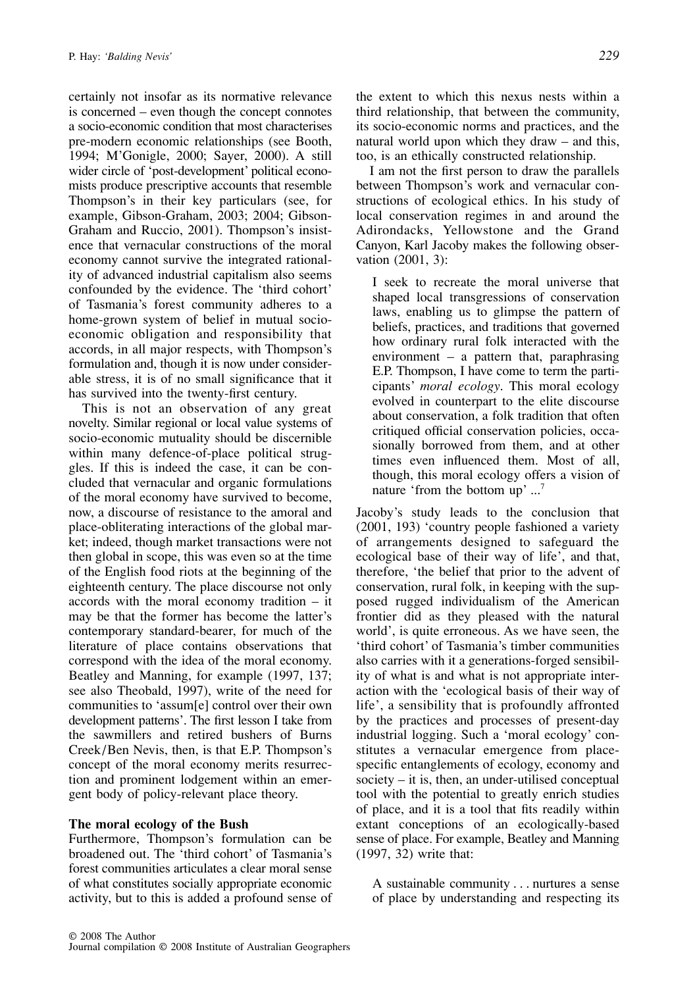certainly not insofar as its normative relevance is concerned – even though the concept connotes a socio-economic condition that most characterises pre-modern economic relationships (see Booth, 1994; M'Gonigle, 2000; Sayer, 2000). A still wider circle of 'post-development' political economists produce prescriptive accounts that resemble Thompson's in their key particulars (see, for example, Gibson-Graham, 2003; 2004; Gibson-Graham and Ruccio, 2001). Thompson's insistence that vernacular constructions of the moral economy cannot survive the integrated rationality of advanced industrial capitalism also seems confounded by the evidence. The 'third cohort' of Tasmania's forest community adheres to a home-grown system of belief in mutual socioeconomic obligation and responsibility that accords, in all major respects, with Thompson's formulation and, though it is now under considerable stress, it is of no small significance that it has survived into the twenty-first century.

This is not an observation of any great novelty. Similar regional or local value systems of socio-economic mutuality should be discernible within many defence-of-place political struggles. If this is indeed the case, it can be concluded that vernacular and organic formulations of the moral economy have survived to become, now, a discourse of resistance to the amoral and place-obliterating interactions of the global market; indeed, though market transactions were not then global in scope, this was even so at the time of the English food riots at the beginning of the eighteenth century. The place discourse not only accords with the moral economy tradition – it may be that the former has become the latter's contemporary standard-bearer, for much of the literature of place contains observations that correspond with the idea of the moral economy. Beatley and Manning, for example (1997, 137; see also Theobald, 1997), write of the need for communities to 'assum[e] control over their own development patterns'. The first lesson I take from the sawmillers and retired bushers of Burns Creek/Ben Nevis, then, is that E.P. Thompson's concept of the moral economy merits resurrection and prominent lodgement within an emergent body of policy-relevant place theory.

## **The moral ecology of the Bush**

Furthermore, Thompson's formulation can be broadened out. The 'third cohort' of Tasmania's forest communities articulates a clear moral sense of what constitutes socially appropriate economic activity, but to this is added a profound sense of too, is an ethically constructed relationship. I am not the first person to draw the parallels between Thompson's work and vernacular constructions of ecological ethics. In his study of local conservation regimes in and around the Adirondacks, Yellowstone and the Grand Canyon, Karl Jacoby makes the following observation (2001, 3):

I seek to recreate the moral universe that shaped local transgressions of conservation laws, enabling us to glimpse the pattern of beliefs, practices, and traditions that governed how ordinary rural folk interacted with the environment – a pattern that, paraphrasing E.P. Thompson, I have come to term the participants' *moral ecology*. This moral ecology evolved in counterpart to the elite discourse about conservation, a folk tradition that often critiqued official conservation policies, occasionally borrowed from them, and at other times even influenced them. Most of all, though, this moral ecology offers a vision of nature 'from the bottom up' ...<sup>7</sup>

Jacoby's study leads to the conclusion that (2001, 193) 'country people fashioned a variety of arrangements designed to safeguard the ecological base of their way of life', and that, therefore, 'the belief that prior to the advent of conservation, rural folk, in keeping with the supposed rugged individualism of the American frontier did as they pleased with the natural world', is quite erroneous. As we have seen, the 'third cohort' of Tasmania's timber communities also carries with it a generations-forged sensibility of what is and what is not appropriate interaction with the 'ecological basis of their way of life', a sensibility that is profoundly affronted by the practices and processes of present-day industrial logging. Such a 'moral ecology' constitutes a vernacular emergence from placespecific entanglements of ecology, economy and society – it is, then, an under-utilised conceptual tool with the potential to greatly enrich studies of place, and it is a tool that fits readily within extant conceptions of an ecologically-based sense of place. For example, Beatley and Manning (1997, 32) write that:

A sustainable community . . . nurtures a sense of place by understanding and respecting its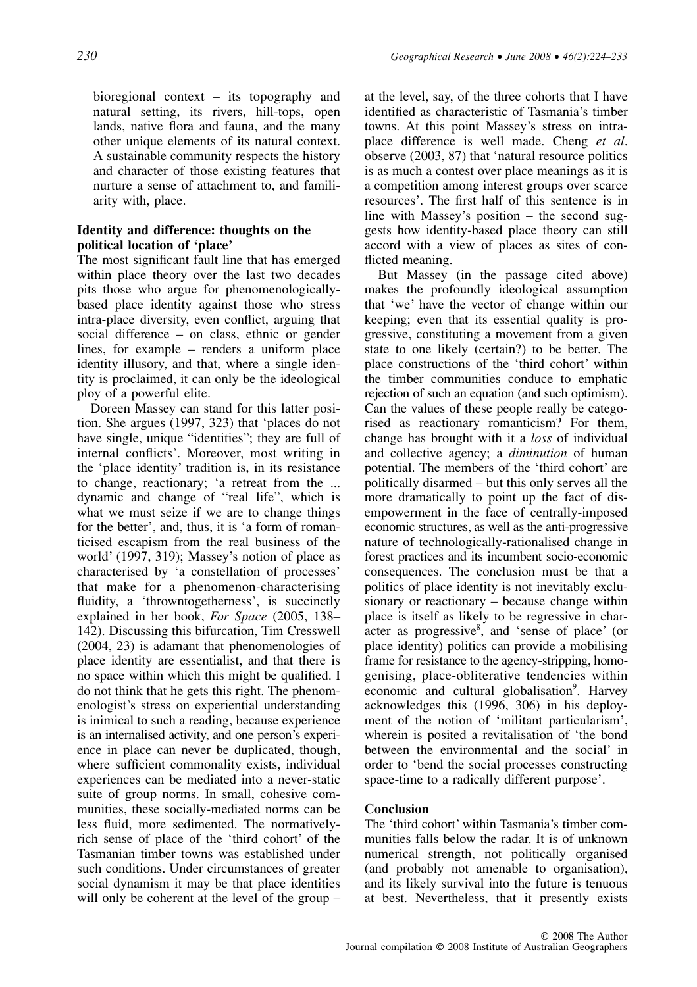bioregional context – its topography and natural setting, its rivers, hill-tops, open lands, native flora and fauna, and the many other unique elements of its natural context. A sustainable community respects the history and character of those existing features that nurture a sense of attachment to, and familiarity with, place.

#### **Identity and difference: thoughts on the political location of 'place'**

The most significant fault line that has emerged within place theory over the last two decades pits those who argue for phenomenologicallybased place identity against those who stress intra-place diversity, even conflict, arguing that social difference – on class, ethnic or gender lines, for example – renders a uniform place identity illusory, and that, where a single identity is proclaimed, it can only be the ideological ploy of a powerful elite.

Doreen Massey can stand for this latter position. She argues (1997, 323) that 'places do not have single, unique "identities"; they are full of internal conflicts'. Moreover, most writing in the 'place identity' tradition is, in its resistance to change, reactionary; 'a retreat from the ... dynamic and change of "real life", which is what we must seize if we are to change things for the better', and, thus, it is 'a form of romanticised escapism from the real business of the world' (1997, 319); Massey's notion of place as characterised by 'a constellation of processes' that make for a phenomenon-characterising fluidity, a 'throwntogetherness', is succinctly explained in her book, *For Space* (2005, 138– 142). Discussing this bifurcation, Tim Cresswell (2004, 23) is adamant that phenomenologies of place identity are essentialist, and that there is no space within which this might be qualified. I do not think that he gets this right. The phenomenologist's stress on experiential understanding is inimical to such a reading, because experience is an internalised activity, and one person's experience in place can never be duplicated, though, where sufficient commonality exists, individual experiences can be mediated into a never-static suite of group norms. In small, cohesive communities, these socially-mediated norms can be less fluid, more sedimented. The normativelyrich sense of place of the 'third cohort' of the Tasmanian timber towns was established under such conditions. Under circumstances of greater social dynamism it may be that place identities will only be coherent at the level of the group –

at the level, say, of the three cohorts that I have identified as characteristic of Tasmania's timber towns. At this point Massey's stress on intraplace difference is well made. Cheng *et al*. observe (2003, 87) that 'natural resource politics is as much a contest over place meanings as it is a competition among interest groups over scarce resources'. The first half of this sentence is in line with Massey's position – the second suggests how identity-based place theory can still accord with a view of places as sites of conflicted meaning.

But Massey (in the passage cited above) makes the profoundly ideological assumption that 'we' have the vector of change within our keeping; even that its essential quality is progressive, constituting a movement from a given state to one likely (certain?) to be better. The place constructions of the 'third cohort' within the timber communities conduce to emphatic rejection of such an equation (and such optimism). Can the values of these people really be categorised as reactionary romanticism? For them, change has brought with it a *loss* of individual and collective agency; a *diminution* of human potential. The members of the 'third cohort' are politically disarmed – but this only serves all the more dramatically to point up the fact of disempowerment in the face of centrally-imposed economic structures, as well as the anti-progressive nature of technologically-rationalised change in forest practices and its incumbent socio-economic consequences. The conclusion must be that a politics of place identity is not inevitably exclusionary or reactionary – because change within place is itself as likely to be regressive in character as progressive<sup>8</sup>, and 'sense of place' (or place identity) politics can provide a mobilising frame for resistance to the agency-stripping, homogenising, place-obliterative tendencies within economic and cultural globalisation<sup>9</sup>. Harvey acknowledges this (1996, 306) in his deployment of the notion of 'militant particularism', wherein is posited a revitalisation of 'the bond between the environmental and the social' in order to 'bend the social processes constructing space-time to a radically different purpose'.

## **Conclusion**

The 'third cohort' within Tasmania's timber communities falls below the radar. It is of unknown numerical strength, not politically organised (and probably not amenable to organisation), and its likely survival into the future is tenuous at best. Nevertheless, that it presently exists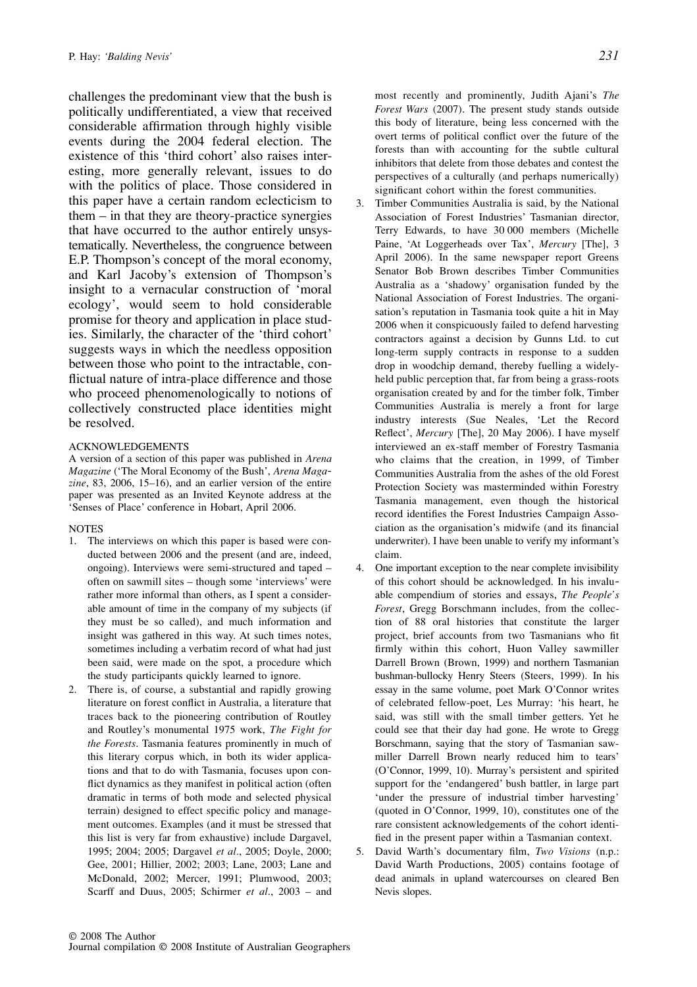challenges the predominant view that the bush is politically undifferentiated, a view that received considerable affirmation through highly visible events during the 2004 federal election. The existence of this 'third cohort' also raises interesting, more generally relevant, issues to do with the politics of place. Those considered in this paper have a certain random eclecticism to them – in that they are theory-practice synergies that have occurred to the author entirely unsystematically. Nevertheless, the congruence between E.P. Thompson's concept of the moral economy, and Karl Jacoby's extension of Thompson's insight to a vernacular construction of 'moral ecology', would seem to hold considerable promise for theory and application in place studies. Similarly, the character of the 'third cohort' suggests ways in which the needless opposition between those who point to the intractable, conflictual nature of intra-place difference and those who proceed phenomenologically to notions of collectively constructed place identities might be resolved.

#### ACKNOWLEDGEMENTS

A version of a section of this paper was published in *Arena Magazine* ('The Moral Economy of the Bush', *Arena Maga zine*, 83, 2006, 15–16), and an earlier version of the entire paper was presented as an Invited Keynote address at the 'Senses of Place' conference in Hobart, April 2006.

#### **NOTES**

- 1. The interviews on which this paper is based were conducted between 2006 and the present (and are, indeed, ongoing). Interviews were semi-structured and taped – often on sawmill sites – though some 'interviews' were rather more informal than others, as I spent a considerable amount of time in the company of my subjects (if they must be so called), and much information and insight was gathered in this way. At such times notes, sometimes including a verbatim record of what had just been said, were made on the spot, a procedure which the study participants quickly learned to ignore.
- 2. There is, of course, a substantial and rapidly growing literature on forest conflict in Australia, a literature that traces back to the pioneering contribution of Routley and Routley's monumental 1975 work, *The Fight for the Forests*. Tasmania features prominently in much of this literary corpus which, in both its wider applications and that to do with Tasmania, focuses upon conflict dynamics as they manifest in political action (often dramatic in terms of both mode and selected physical terrain) designed to effect specific policy and management outcomes. Examples (and it must be stressed that this list is very far from exhaustive) include Dargavel, 1995; 2004; 2005; Dargavel *et al.*, 2005; Doyle, 2000; Gee, 2001; Hillier, 2002; 2003; Lane, 2003; Lane and McDonald, 2002; Mercer, 1991; Plumwood, 2003; Scarff and Duus, 2005; Schirmer *et al*., 2003 – and

most recently and prominently, Judith Ajani's *The Forest Wars* (2007). The present study stands outside this body of literature, being less concerned with the overt terms of political conflict over the future of the forests than with accounting for the subtle cultural inhibitors that delete from those debates and contest the perspectives of a culturally (and perhaps numerically) significant cohort within the forest communities.

- Timber Communities Australia is said, by the National Association of Forest Industries' Tasmanian director, Terry Edwards, to have 30 000 members (Michelle Paine, 'At Loggerheads over Tax', *Mercury* [The], 3 April 2006). In the same newspaper report Greens Senator Bob Brown describes Timber Communities Australia as a 'shadowy' organisation funded by the National Association of Forest Industries. The organisation's reputation in Tasmania took quite a hit in May 2006 when it conspicuously failed to defend harvesting contractors against a decision by Gunns Ltd. to cut long-term supply contracts in response to a sudden drop in woodchip demand, thereby fuelling a widelyheld public perception that, far from being a grass-roots organisation created by and for the timber folk, Timber Communities Australia is merely a front for large industry interests (Sue Neales, 'Let the Record Reflect', *Mercury* [The], 20 May 2006). I have myself interviewed an ex-staff member of Forestry Tasmania who claims that the creation, in 1999, of Timber Communities Australia from the ashes of the old Forest Protection Society was masterminded within Forestry Tasmania management, even though the historical record identifies the Forest Industries Campaign Association as the organisation's midwife (and its financial underwriter). I have been unable to verify my informant's claim.
- 4. One important exception to the near complete invisibility of this cohort should be acknowledged. In his invaluable compendium of stories and essays, *The People's Forest*, Gregg Borschmann includes, from the collection of 88 oral histories that constitute the larger project, brief accounts from two Tasmanians who fit firmly within this cohort, Huon Valley sawmiller Darrell Brown (Brown, 1999) and northern Tasmanian bushman-bullocky Henry Steers (Steers, 1999). In his essay in the same volume, poet Mark O'Connor writes of celebrated fellow-poet, Les Murray: 'his heart, he said, was still with the small timber getters. Yet he could see that their day had gone. He wrote to Gregg Borschmann, saying that the story of Tasmanian sawmiller Darrell Brown nearly reduced him to tears' (O'Connor, 1999, 10). Murray's persistent and spirited support for the 'endangered' bush battler, in large part 'under the pressure of industrial timber harvesting' (quoted in O'Connor, 1999, 10), constitutes one of the rare consistent acknowledgements of the cohort identified in the present paper within a Tasmanian context.
- 5. David Warth's documentary film, *Two Visions* (n.p.: David Warth Productions, 2005) contains footage of dead animals in upland watercourses on cleared Ben Nevis slopes.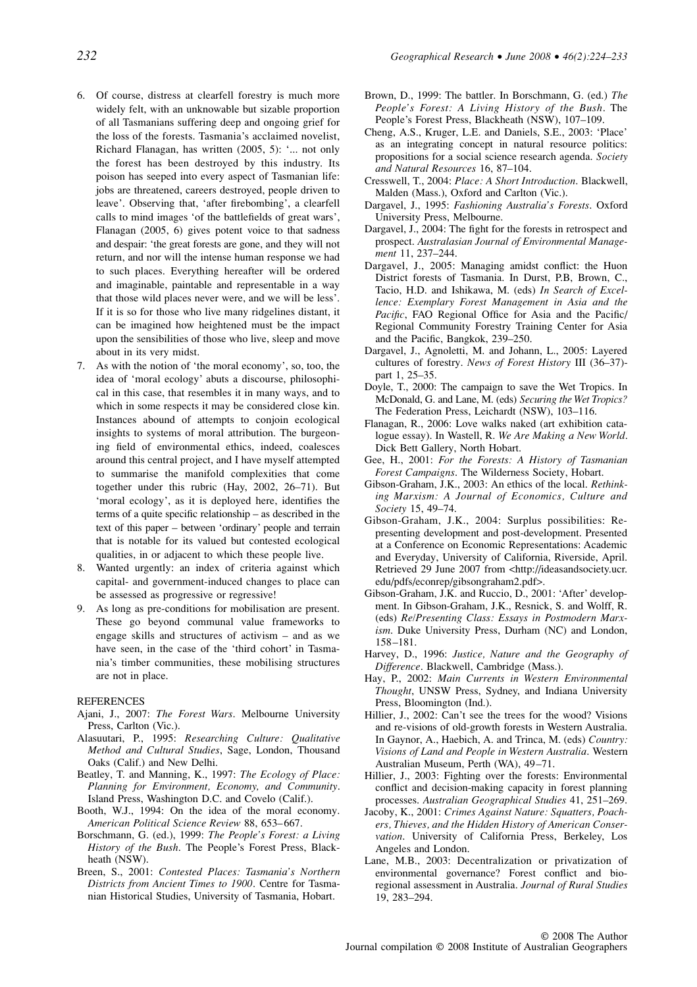- 6. Of course, distress at clearfell forestry is much more widely felt, with an unknowable but sizable proportion of all Tasmanians suffering deep and ongoing grief for the loss of the forests. Tasmania's acclaimed novelist, Richard Flanagan, has written (2005, 5): '... not only the forest has been destroyed by this industry. Its poison has seeped into every aspect of Tasmanian life: jobs are threatened, careers destroyed, people driven to leave'. Observing that, 'after firebombing', a clearfell calls to mind images 'of the battlefields of great wars', Flanagan (2005, 6) gives potent voice to that sadness and despair: 'the great forests are gone, and they will not return, and nor will the intense human response we had to such places. Everything hereafter will be ordered and imaginable, paintable and representable in a way that those wild places never were, and we will be less'. If it is so for those who live many ridgelines distant, it can be imagined how heightened must be the impact upon the sensibilities of those who live, sleep and move about in its very midst.
- 7. As with the notion of 'the moral economy', so, too, the idea of 'moral ecology' abuts a discourse, philosophical in this case, that resembles it in many ways, and to which in some respects it may be considered close kin. Instances abound of attempts to conjoin ecological insights to systems of moral attribution. The burgeoning field of environmental ethics, indeed, coalesces around this central project, and I have myself attempted to summarise the manifold complexities that come together under this rubric (Hay, 2002, 26–71). But 'moral ecology', as it is deployed here, identifies the terms of a quite specific relationship – as described in the text of this paper – between 'ordinary' people and terrain that is notable for its valued but contested ecological qualities, in or adjacent to which these people live.
- 8. Wanted urgently: an index of criteria against which capital- and government-induced changes to place can be assessed as progressive or regressive!
- 9. As long as pre-conditions for mobilisation are present. These go beyond communal value frameworks to engage skills and structures of activism – and as we have seen, in the case of the 'third cohort' in Tasmania's timber communities, these mobilising structures are not in place.

#### REFERENCES

- Ajani, J., 2007: *The Forest Wars*. Melbourne University Press, Carlton (Vic.).
- Alasuutari, P., 1995: *Researching Culture: Qualitative Method and Cultural Studies*, Sage, London, Thousand Oaks (Calif.) and New Delhi.
- Beatley, T. and Manning, K., 1997: *The Ecology of Place: Planning for Environment, Economy, and Community*. Island Press, Washington D.C. and Covelo (Calif.).
- Booth, W.J., 1994: On the idea of the moral economy. *American Political Science Review* 88, 653–667.
- Borschmann, G. (ed.), 1999: *The People's Forest: a Living History of the Bush*. The People's Forest Press, Blackheath (NSW).
- Breen, S., 2001: *Contested Places: Tasmania's Northern Districts from Ancient Times to 1900*. Centre for Tasmanian Historical Studies, University of Tasmania, Hobart.
- Brown, D., 1999: The battler. In Borschmann, G. (ed.) *The People's Forest: A Living History of the Bush*. The People's Forest Press, Blackheath (NSW), 107–109.
- Cheng, A.S., Kruger, L.E. and Daniels, S.E., 2003: 'Place' as an integrating concept in natural resource politics: propositions for a social science research agenda. *Society and Natural Resources* 16, 87–104.
- Cresswell, T., 2004: *Place: A Short Introduction*. Blackwell, Malden (Mass.), Oxford and Carlton (Vic.).
- Dargavel, J., 1995: *Fashioning Australia's Forests*. Oxford University Press, Melbourne.
- Dargavel, J., 2004: The fight for the forests in retrospect and prospect. *Australasian Journal of Environmental Management* 11, 237–244.
- Dargavel, J., 2005: Managing amidst conflict: the Huon District forests of Tasmania. In Durst, P.B, Brown, C., Tacio, H.D. and Ishikawa, M. (eds) *In Search of Excellence: Exemplary Forest Management in Asia and the Pacific*, FAO Regional Office for Asia and the Pacific/ Regional Community Forestry Training Center for Asia and the Pacific, Bangkok, 239–250.
- Dargavel, J., Agnoletti, M. and Johann, L., 2005: Layered cultures of forestry. *News of Forest History* III (36–37) part 1, 25–35.
- Doyle, T., 2000: The campaign to save the Wet Tropics. In McDonald, G. and Lane, M. (eds) *Securing the Wet Tropics?* The Federation Press, Leichardt (NSW), 103–116.
- Flanagan, R., 2006: Love walks naked (art exhibition catalogue essay). In Wastell, R. *We Are Making a New World*. Dick Bett Gallery, North Hobart.
- Gee, H., 2001: *For the Forests: A History of Tasmanian Forest Campaigns*. The Wilderness Society, Hobart.
- Gibson-Graham, J.K., 2003: An ethics of the local. *Rethink[ing Marxism: A Journal of Economics, Culture and](http://ideasandsociety.ucr.edu/pdfs/econrep/gibsongraham2.pdf) Society* 15, 49–74.
- Gibson-Graham, J.K., 2004: Surplus possibilities: Representing development and post-development. Presented at a Conference on Economic Representations: Academic and Everyday, University of California, Riverside, April. Retrieved 29 June 2007 from <http://ideasandsociety.ucr. edu/pdfs/econrep/gibsongraham2.pdf>.
- Gibson-Graham, J.K. and Ruccio, D., 2001: 'After' development. In Gibson-Graham, J.K., Resnick, S. and Wolff, R. (eds) *Re/Presenting Class: Essays in Postmodern Marxism*. Duke University Press, Durham (NC) and London, 158–181.
- Harvey, D., 1996: *Justice, Nature and the Geography of Difference*. Blackwell, Cambridge (Mass.).
- Hay, P., 2002: *Main Currents in Western Environmental Thought*, UNSW Press, Sydney, and Indiana University Press, Bloomington (Ind.).
- Hillier, J., 2002: Can't see the trees for the wood? Visions and re-visions of old-growth forests in Western Australia. In Gaynor, A., Haebich, A. and Trinca, M. (eds) *Country: Visions of Land and People in Western Australia*. Western Australian Museum, Perth (WA), 49–71.
- Hillier, J., 2003: Fighting over the forests: Environmental conflict and decision-making capacity in forest planning processes. *Australian Geographical Studies* 41, 251–269.
- Jacoby, K., 2001: *Crimes Against Nature: Squatters, Poachers, Thieves, and the Hidden History of American Conservation*. University of California Press, Berkeley, Los Angeles and London.
- Lane, M.B., 2003: Decentralization or privatization of environmental governance? Forest conflict and bioregional assessment in Australia. *Journal of Rural Studies* 19, 283–294.